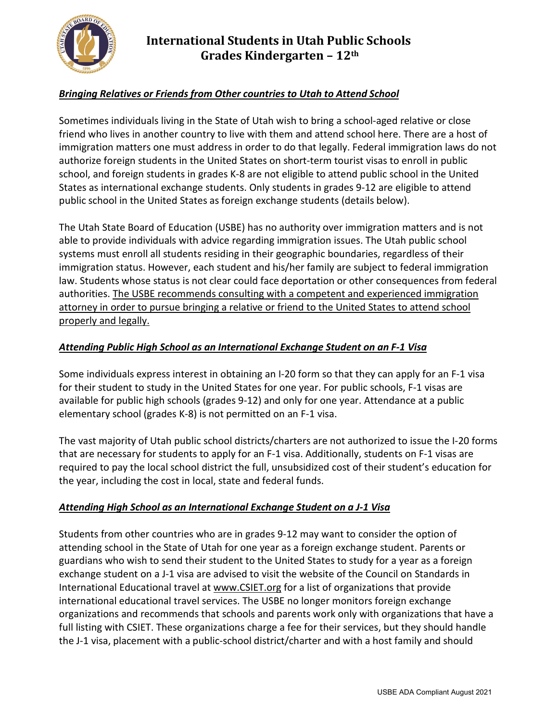

# **International Students in Utah Public Schools Grades Kindergarten – 12th**

### *Bringing Relatives or Friends from Other countries to Utah to Attend School*

Sometimes individuals living in the State of Utah wish to bring a school-aged relative or close friend who lives in another country to live with them and attend school here. There are a host of immigration matters one must address in order to do that legally. Federal immigration laws do not authorize foreign students in the United States on short-term tourist visas to enroll in public school, and foreign students in grades K-8 are not eligible to attend public school in the United States as international exchange students. Only students in grades 9-12 are eligible to attend public school in the United States as foreign exchange students (details below).

The Utah State Board of Education (USBE) has no authority over immigration matters and is not able to provide individuals with advice regarding immigration issues. The Utah public school systems must enroll all students residing in their geographic boundaries, regardless of their immigration status. However, each student and his/her family are subject to federal immigration law. Students whose status is not clear could face deportation or other consequences from federal authorities. The USBE recommends consulting with a competent and experienced immigration attorney in order to pursue bringing a relative or friend to the United States to attend school properly and legally.

### *Attending Public High School as an International Exchange Student on an F-1 Visa*

Some individuals express interest in obtaining an I-20 form so that they can apply for an F-1 visa for their student to study in the United States for one year. For public schools, F-1 visas are available for public high schools (grades 9-12) and only for one year. Attendance at a public elementary school (grades K-8) is not permitted on an F-1 visa.

The vast majority of Utah public school districts/charters are not authorized to issue the I-20 forms that are necessary for students to apply for an F-1 visa. Additionally, students on F-1 visas are required to pay the local school district the full, unsubsidized cost of their student's education for the year, including the cost in local, state and federal funds.

### *Attending High School as an International Exchange Student on a J-1 Visa*

Students from other countries who are in grades 9-12 may want to consider the option of attending school in the State of Utah for one year as a foreign exchange student. Parents or guardians who wish to send their student to the United States to study for a year as a foreign exchange student on a J-1 visa are advised to visit the website of the Council on Standards in International Educational travel at [www.CSIET.org](http://www.csiet.org/) for a list of organizations that provide international educational travel services. The USBE no longer monitors foreign exchange organizations and recommends that schools and parents work only with organizations that have a full listing with CSIET. These organizations charge a fee for their services, but they should handle the J-1 visa, placement with a public-school district/charter and with a host family and should